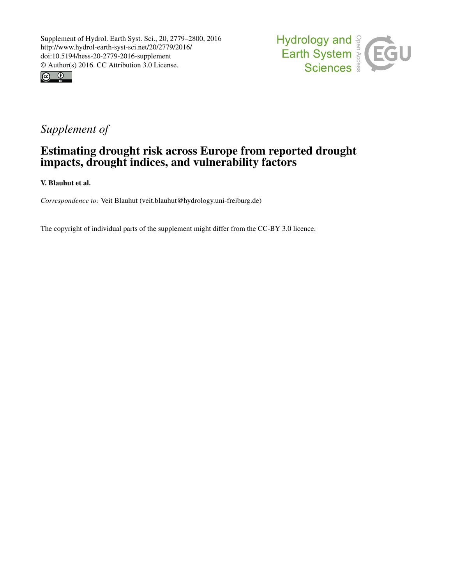



## *Supplement of*

## Estimating drought risk across Europe from reported drought impacts, drought indices, and vulnerability factors

V. Blauhut et al.

*Correspondence to:* Veit Blauhut (veit.blauhut@hydrology.uni-freiburg.de)

The copyright of individual parts of the supplement might differ from the CC-BY 3.0 licence.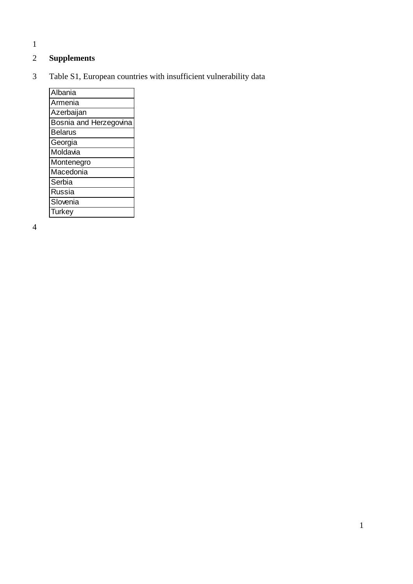1

## 2 **Supplements**

3 Table S1, European countries with insufficient vulnerability data

| Albania                |
|------------------------|
| Armenia                |
| Azerbaijan             |
| Bosnia and Herzegovina |
| <b>Belarus</b>         |
| Georgia                |
| Moldavia               |
| Montenegro             |
| Macedonia              |
| Serbia                 |
| Russia                 |
| Slovenia               |
| Turkey                 |

4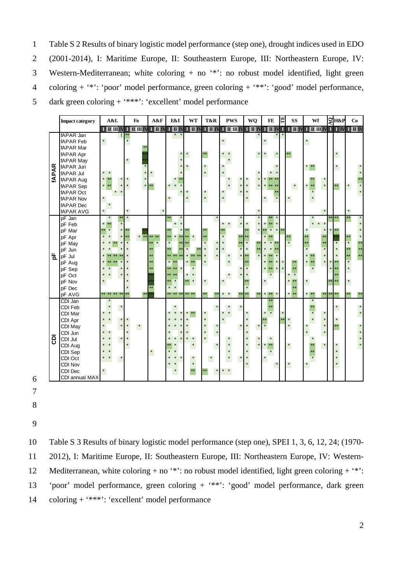- $\mathbf{1}$ Table S 2 Results of binary logistic model performance (step one), drought indices used in EDO
- (2001-2014), I: Maritime Europe, II: Southeastern Europe, III: Northeastern Europe, IV:  $\overline{2}$
- Western-Mediterranean; white coloring  $+$  no '\*': no robust model identified, light green  $\mathfrak{Z}$
- coloring  $+$  '\*': 'poor' model performance, green coloring  $+$  '\*\*': 'good' model performance,  $\overline{4}$
- dark green coloring + '\*\*\*': 'excellent' model performance 5

|              | <b>Impact category</b> | A&L                      | Fo                                     | A&F                                           | E&I                                           | <b>WT</b>                                     | T&R                                           | <b>PWS</b>                                                          | WQ                                            | ЯΙ<br>FE                    | <b>SS</b>      | Wf                          | $2H\&P$      | Co |
|--------------|------------------------|--------------------------|----------------------------------------|-----------------------------------------------|-----------------------------------------------|-----------------------------------------------|-----------------------------------------------|---------------------------------------------------------------------|-----------------------------------------------|-----------------------------|----------------|-----------------------------|--------------|----|
|              |                        |                          | $I$ of $I$ of $I$ of $I$ or $I$ or $I$ | $\mathbf{I} \mathbf{I} \mathbf{I} \mathbf{N}$ | $\mathbf{I} \mathbf{I} \mathbf{I} \mathbf{I}$ | $\mathbf{I} \mathbf{I} \mathbf{I} \mathbf{N}$ | $\mathbf{I} \mathbf{I} \mathbf{I} \mathbf{I}$ | $\mathbf{I} \mathbf{I} \mathbf{I} \mathbf{I} \mathbf{I} \mathbf{I}$ | $\mathbf{I} \mathbf{I} \mathbf{I} \mathbf{I}$ |                             |                | I HNI I HNI HMI HMI I NI HN |              |    |
|              | fAPAR Jan              |                          |                                        |                                               |                                               |                                               |                                               |                                                                     |                                               |                             |                |                             |              |    |
|              | <b>fAPAR Feb</b>       | $^{\star}$               | $\star$                                |                                               |                                               |                                               |                                               | $\star$                                                             |                                               | $\star$                     |                |                             |              |    |
|              | fAPAR Mar              |                          |                                        |                                               |                                               |                                               |                                               |                                                                     |                                               |                             |                |                             |              |    |
|              | fAPAR Apr              |                          |                                        |                                               |                                               |                                               | **                                            |                                                                     | $\star$                                       | $\star$<br>$\star$          |                |                             | $\star$      |    |
|              | fAPAR May              |                          |                                        |                                               |                                               |                                               |                                               |                                                                     |                                               |                             |                |                             |              |    |
| <b>fAPAR</b> | fAPAR Jun              |                          |                                        |                                               |                                               |                                               | $\star$                                       |                                                                     |                                               | $\lambda$                   |                | $*$ **                      | $\star$      |    |
|              | fAPAR Jul              |                          |                                        | $\star$                                       |                                               |                                               | $\star$                                       |                                                                     | $\star$                                       |                             |                |                             |              |    |
|              | fAPAR Aug              | $\star$                  | $\star$                                |                                               |                                               |                                               |                                               |                                                                     | $\star$                                       |                             |                |                             |              |    |
|              | fAPAR Sep              | $^\star$<br>$\star$      | $\star$<br>$\star$                     | $**$                                          |                                               |                                               |                                               |                                                                     | $\star$                                       |                             | $\star$        | $\star$<br>$\star$<br>**    | **           |    |
|              | fAPAR Oct              |                          |                                        |                                               |                                               |                                               | $\star$                                       |                                                                     |                                               |                             |                | $\star$                     |              |    |
|              | <b>fAPAR Nov</b>       | $\star$                  |                                        |                                               | $\star$                                       | $\star$                                       | $\star$                                       |                                                                     | $\star$                                       | $\star$<br>$\star$          |                | $\star$                     |              |    |
|              | <b>fAPAR Dec</b>       |                          |                                        |                                               |                                               |                                               |                                               |                                                                     |                                               |                             |                |                             |              |    |
|              | <b>fAPAR AVG</b>       |                          |                                        |                                               |                                               |                                               |                                               |                                                                     |                                               |                             |                |                             |              |    |
|              | pF Jan                 |                          | $\ast$                                 |                                               |                                               |                                               |                                               |                                                                     |                                               |                             |                |                             |              |    |
|              | pF Feb                 | $\star$<br>$**$          |                                        |                                               |                                               |                                               |                                               | $\star$                                                             | $\star$                                       | $\star$<br>**               |                | $\star$                     |              |    |
|              | pF Mar                 | $\star$<br>$\star$<br>** | $**$                                   |                                               |                                               |                                               |                                               |                                                                     |                                               | $\star$<br>$\star$          |                |                             |              |    |
|              | pF Apr                 |                          | $*$<br>$\star$                         | **                                            | $\star$                                       |                                               |                                               |                                                                     |                                               | $\star$                     |                |                             |              |    |
|              | pF May                 |                          |                                        |                                               |                                               |                                               |                                               |                                                                     |                                               | $\star$                     |                |                             |              |    |
|              | pF Jun                 |                          |                                        |                                               |                                               |                                               |                                               |                                                                     |                                               |                             |                |                             |              |    |
| 노            | pF Jul                 |                          |                                        |                                               |                                               |                                               |                                               | $\star$                                                             |                                               | $\star$<br>$\lambda$<br>k * |                |                             |              |    |
|              | pF Aug                 |                          |                                        |                                               | $\star$<br>$+4$                               |                                               |                                               |                                                                     |                                               | $\star$<br>$\star$<br>به به |                | $*$                         |              |    |
|              | pF Sep                 |                          |                                        |                                               | e de<br>$+ +$                                 |                                               |                                               |                                                                     |                                               | $\star$<br>$\star$<br>**    |                | $\star$                     |              |    |
|              | pF Oct                 |                          |                                        |                                               |                                               |                                               |                                               |                                                                     |                                               | $\star$                     |                |                             |              |    |
|              | pF Nov                 |                          |                                        |                                               | $\star$                                       | $\star$                                       | $\star$                                       |                                                                     |                                               | $\star$                     |                |                             |              |    |
|              | pF Dec                 |                          |                                        |                                               | $\star$<br>$\star$                            |                                               |                                               |                                                                     |                                               |                             |                |                             |              |    |
|              | pF AVG                 | k*<br>$***$              | **                                     |                                               | ** **                                         | ** **                                         | k*                                            |                                                                     |                                               | $*$ **                      | $\star$<br>$*$ | $*$ **<br>$**$              | $\star\star$ |    |
|              | CDI Jan                |                          |                                        |                                               |                                               |                                               |                                               |                                                                     |                                               |                             |                |                             |              |    |
|              | <b>CDI Feb</b>         |                          |                                        |                                               | ÷                                             |                                               |                                               |                                                                     |                                               | **                          |                | $\star\star$                | $\star$      |    |
|              | <b>CDI Mar</b>         |                          |                                        |                                               |                                               |                                               |                                               |                                                                     |                                               | $\star$                     |                |                             |              |    |
|              | CDI Apr                |                          | $\star$                                |                                               |                                               |                                               |                                               |                                                                     |                                               |                             |                |                             | $\star$      |    |
|              | CDI May                |                          | $^\star$<br>$\star$                    |                                               |                                               |                                               |                                               |                                                                     | $\star$                                       | $\star$                     |                |                             | **           |    |
|              | CDI Jun                |                          |                                        |                                               |                                               |                                               |                                               |                                                                     |                                               |                             |                | $\star$                     |              |    |
| ā            | CDI Jul                | $\star$                  |                                        |                                               |                                               | $\star$                                       |                                               |                                                                     | $\star$                                       | $\star$                     |                |                             |              |    |
|              | CDI Aug                |                          |                                        |                                               |                                               | $\lambda$                                     |                                               |                                                                     | $\star$                                       | $\star\star$<br>$\star$     |                | $\star$<br>**               | $\star$      |    |
|              | CDI Sep                |                          |                                        | $\star$                                       |                                               |                                               |                                               |                                                                     |                                               | $\star$                     |                |                             |              |    |
|              | CDI Oct                |                          |                                        |                                               |                                               | $\star$                                       | $\star$                                       |                                                                     | $\star$                                       | $\star$                     |                |                             |              |    |
|              | <b>CDI Nov</b>         |                          |                                        |                                               |                                               | $\star$                                       |                                               |                                                                     |                                               | $\star$                     | $\star$        |                             | $\star$      |    |
|              | <b>CDI Dec</b>         |                          |                                        |                                               | $\star$                                       | $\star\star$                                  |                                               | $\star$<br>$\star$                                                  |                                               |                             |                |                             |              |    |
|              | CDI annual MAX         |                          |                                        |                                               |                                               |                                               |                                               |                                                                     |                                               |                             |                |                             |              |    |

- $\sqrt{6}$
- $\overline{7}$
- $8\,$
- 9

Table S 3 Results of binary logistic model performance (step one), SPEI 1, 3, 6, 12, 24; (1970- $10\,$ 11 2012), I: Maritime Europe, II: Southeastern Europe, III: Northeastern Europe, IV: Western-Mediterranean, white coloring + no '\*': no robust model identified, light green coloring + '\*': 12 'poor' model performance, green coloring + '\*\*': 'good' model performance, dark green 13 coloring  $+$  '\*\*\*': 'excellent' model performance 14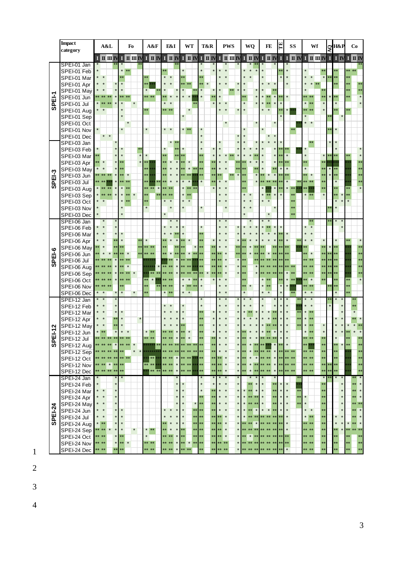|         | <b>Impact</b>              | A&L                     |              | Fo                                                          | A&F                    | E&I                     | WT                      | T&R                  | <b>PWS</b>               | WQ                                            | FE                      | Ē<br>SS                                        | Wf                                   |                             |         | Co                                 |                    |
|---------|----------------------------|-------------------------|--------------|-------------------------------------------------------------|------------------------|-------------------------|-------------------------|----------------------|--------------------------|-----------------------------------------------|-------------------------|------------------------------------------------|--------------------------------------|-----------------------------|---------|------------------------------------|--------------------|
|         | category                   |                         |              |                                                             |                        |                         |                         |                      |                          |                                               |                         |                                                |                                      | $\mathcal{G}^{\text{H\&P}}$ |         |                                    |                    |
|         |                            | $I$ $I$ $I$ $I$ $I$ $I$ |              | $\blacksquare$ $\blacksquare$ $\blacksquare$ $\blacksquare$ |                        |                         | I HIV I HIV I HIV I HIV |                      | IIMMINN                  |                                               |                         |                                                | I H N I I H N I H H N I I I W        |                             |         | $\mathbf{I} \mathbf{I} \mathbf{I}$ |                    |
|         | SPEI-01 Jan                |                         |              |                                                             |                        |                         |                         |                      |                          |                                               |                         |                                                |                                      |                             |         |                                    |                    |
|         | SPEI-01 Feb                |                         |              | $\star$                                                     |                        |                         | k *                     |                      |                          |                                               |                         |                                                | $\star$<br>$\star$                   |                             |         |                                    |                    |
|         | SPEI-01 Mar                |                         |              |                                                             |                        |                         |                         |                      |                          |                                               |                         |                                                |                                      |                             |         |                                    |                    |
|         | SPEI-01 Apr                |                         |              |                                                             |                        |                         | k*                      |                      |                          |                                               |                         |                                                |                                      |                             |         |                                    | $\star\star$<br>** |
|         | SPEI-01 May                |                         |              |                                                             |                        |                         | $\star$                 |                      |                          |                                               |                         | $\star$                                        |                                      |                             |         |                                    |                    |
|         | SPEI-01 Jun                |                         |              | k×.                                                         | ** **                  |                         |                         |                      |                          |                                               |                         |                                                |                                      |                             |         |                                    | $\star$<br>$\star$ |
| SPEI-1  | SPEI-01 Jul                |                         |              |                                                             | $\star\star$           | $\star$<br>÷÷.<br>**    |                         |                      |                          |                                               |                         |                                                | $\star$<br>大大<br>**<br>$**$          |                             |         |                                    |                    |
|         | SPEI-01 Aug                |                         |              |                                                             |                        |                         |                         |                      |                          |                                               |                         |                                                | *                                    |                             |         |                                    |                    |
|         | SPEI-01 Sep                |                         |              |                                                             |                        |                         |                         |                      | $\star$                  |                                               |                         |                                                | $\star$<br>$\star$                   |                             |         |                                    |                    |
|         | SPEI-01 Oct<br>SPEI-01 Nov |                         |              |                                                             | $\star$                | $\star$<br>$\star$      | $\star$                 |                      |                          |                                               |                         |                                                |                                      |                             |         |                                    |                    |
|         |                            | $\star$<br>$\star$      |              |                                                             |                        |                         |                         |                      |                          |                                               |                         |                                                |                                      |                             |         |                                    |                    |
|         | SPEI-01 Dec<br>SPEI-03 Jan |                         |              |                                                             |                        | $\star\star$<br>$\star$ |                         |                      |                          |                                               |                         |                                                |                                      |                             |         |                                    |                    |
|         | SPEI-03 Feb                |                         |              |                                                             |                        |                         |                         |                      |                          |                                               |                         | k x                                            |                                      |                             |         |                                    |                    |
|         | SPEI-03 Mar                |                         |              |                                                             | $\star$                |                         |                         | **                   |                          |                                               |                         | $\overline{\mathbf{r}}$                        |                                      |                             |         |                                    |                    |
|         | SPEI-03 Apr                | $\star$                 | $\star$      |                                                             |                        |                         |                         |                      |                          |                                               |                         |                                                |                                      |                             |         |                                    | **                 |
|         | SPEI-03 May                |                         |              |                                                             |                        |                         | $\star$                 |                      |                          |                                               |                         |                                                |                                      |                             |         |                                    | **                 |
| SPEI-3  | SPEI-03 Jun                | $*$                     |              | $\star$<br>t A                                              | $\star\star$           |                         |                         |                      |                          |                                               |                         |                                                | $\star\star$                         |                             |         |                                    | $\star\star$       |
|         | SPEI-03 Jul                |                         |              |                                                             |                        |                         | $\star$                 |                      |                          |                                               |                         |                                                |                                      |                             |         |                                    | **                 |
|         | SPEI-03 Aug                |                         |              |                                                             |                        |                         |                         |                      |                          |                                               |                         |                                                |                                      |                             |         |                                    | $\star$            |
|         | SPEI-03 Sep                |                         |              |                                                             |                        |                         | $\star$                 |                      |                          | $\star$                                       |                         |                                                | $\star$                              |                             |         |                                    |                    |
|         | SPEI-03 Oct                | $\star$                 |              | $\star$                                                     |                        |                         | $\star$                 |                      |                          | $\star$<br>$\star$                            |                         | $*$                                            |                                      |                             |         |                                    |                    |
|         | SPEI-03 Nov                |                         |              |                                                             |                        |                         |                         |                      |                          |                                               |                         | **                                             |                                      |                             |         |                                    |                    |
|         | SPEI-03 Dec                |                         |              | $\star$                                                     |                        |                         |                         |                      |                          | $\star$                                       | $\star$                 | $\star \star$                                  |                                      |                             |         |                                    |                    |
|         | SPEI-06 Jan                | $\ast$                  |              |                                                             |                        |                         |                         |                      |                          |                                               |                         |                                                |                                      |                             |         |                                    |                    |
|         | SPEI-06 Feb                |                         |              |                                                             |                        |                         |                         |                      |                          |                                               |                         |                                                |                                      |                             |         |                                    |                    |
|         | SPEI-06 Mar                |                         |              |                                                             |                        |                         |                         | **                   |                          |                                               |                         |                                                |                                      |                             |         |                                    |                    |
|         | SPEI-06 Apr                |                         |              |                                                             | $\star$                |                         |                         |                      |                          |                                               |                         |                                                |                                      |                             |         |                                    |                    |
|         | SPEI-06 May                |                         |              |                                                             | $**$                   |                         |                         |                      | $*$                      |                                               |                         |                                                | **                                   |                             |         |                                    | $\star\star$       |
| SPEI-6  | SPEI-06 Jun                |                         |              | $\star$                                                     |                        |                         |                         |                      | **                       |                                               |                         |                                                | $\star$                              |                             |         |                                    | **                 |
|         | SPEI-06 Jul                |                         |              |                                                             |                        |                         |                         |                      | $\overline{\mathbf{x}}$  |                                               |                         |                                                |                                      |                             |         |                                    | $\star\star$       |
|         | SPEI-06 Aug                |                         |              | $\star$                                                     |                        |                         |                         |                      |                          | $\star$                                       |                         |                                                | $\star\star$<br>大大<br>$\star\star$   |                             |         |                                    | $\star\star$       |
|         | SPEI-06 Sep                |                         |              |                                                             |                        |                         |                         |                      | $\star$                  |                                               |                         |                                                | $\star\star$                         |                             |         |                                    | $\star\star$       |
|         | SPEI-06 Oct                |                         |              |                                                             |                        |                         |                         |                      |                          |                                               |                         |                                                | $\pmb{\ast}$                         |                             |         |                                    | $\star$            |
|         | SPEI-06 Nov                |                         |              |                                                             |                        |                         | k*                      |                      |                          |                                               |                         |                                                | $\star\star$<br>$**$                 |                             |         |                                    |                    |
|         | SPEI-06 Dec                | $\star$                 |              |                                                             |                        | $*$ **                  | $\star$                 |                      | $\star$                  | $\overline{\ast}$                             |                         |                                                | $*$ *                                |                             |         |                                    |                    |
|         | SPEI-12 Jan                |                         |              |                                                             |                        |                         |                         |                      |                          |                                               |                         |                                                |                                      |                             |         |                                    |                    |
|         | SPEI-12 Feb                | $\star$                 | $\star$      |                                                             |                        |                         |                         |                      |                          |                                               |                         |                                                |                                      |                             |         | **                                 |                    |
|         | SPEI-12 Mar                |                         | $\star$      |                                                             |                        |                         |                         | **                   |                          |                                               |                         | ×۱                                             | $\star$<br>$**$<br>$\star$           |                             |         |                                    |                    |
|         | SPEI-12 Apr                |                         |              |                                                             |                        |                         |                         | k i<br>à.            |                          |                                               |                         |                                                | $**$<br>*                            |                             |         |                                    |                    |
|         | SPEI-12 May                | $*$                     |              |                                                             |                        |                         |                         |                      |                          |                                               |                         |                                                |                                      |                             |         |                                    |                    |
| PEI-12  | SPEI-12 Jun                |                         |              | **                                                          | $\star$<br>$**$<br>$*$ |                         |                         | **                   |                          |                                               |                         | $\star$                                        | $\star\star$<br>$**$<br>$\star\star$ |                             |         |                                    | **                 |
|         | SPEI-12 Jul                |                         |              |                                                             |                        |                         |                         |                      |                          |                                               |                         |                                                |                                      |                             |         |                                    |                    |
| ທ       | SPEI-12 Aug                |                         |              |                                                             |                        |                         |                         |                      | $\star$                  |                                               |                         | $**$                                           | **<br>$\star\star$                   |                             |         |                                    | $\star\star$       |
|         | SPEI-12 Sep                |                         |              | ** **                                                       | **                     |                         |                         | $**$<br>**           | $**$<br>$\pmb{\ast}$     | $\star$                                       | $\star$                 |                                                | ** **<br>$\star\star$                | k k                         |         |                                    | $\star\star$       |
|         | SPEI-12 Oct                | $\star$                 |              | $\star\star$                                                | $**$<br>**             | k*<br>$\star$           | $\star\star$            | $**$<br>$\star\star$ | $\star$<br>**            | $\star$<br>**<br>$\star$                      | $\pmb{\ast}$            | k*.                                            | ** **<br>$\star\star$                | **<br>**                    |         |                                    | $\star\star$       |
|         | SPEI-12 Nov                | **                      |              |                                                             |                        | $\star$                 |                         | $\star\star$         | $\star$<br>**<br>$\star$ | $\star$                                       | $\pmb{\ast}$            |                                                | ** **<br>$\star\star$                | **                          |         |                                    | $\star\star$       |
|         | SPEI-12 Dec                |                         |              |                                                             |                        |                         |                         |                      |                          |                                               |                         |                                                |                                      |                             |         |                                    | $\ast$             |
|         | SPEI-24 Jan<br>SPEI-24 Feb |                         | $\star$      |                                                             |                        | $\star$                 | $\star$                 | $\star$<br>$\star$   | $\star$<br>$\star$       | $\star$<br>k*                                 | $\star\star$            | $\star$<br>$\star$                             | $\star\star$                         |                             |         | **                                 | $\star$            |
|         | SPEI-24 Mar                | $\star$ $\star$         | $\star$      |                                                             |                        | $\star$                 | $\star$                 | $\star$              | $\star$<br>$\star$       | $\star$<br>$\star$<br>$\star\star$<br>$\star$ | $\star$<br>$\star\star$ | $\overline{\phantom{a}}$<br>$\star$<br>$\star$ | $**$                                 |                             | $\star$ | **                                 | $\star$            |
|         | SPEI-24 Apr                | $\star$                 | $\star$      |                                                             |                        | $\star$                 | *                       | **                   | $\star$                  | $\star$                                       | **                      | $\star$<br>$\pmb{\ast}$<br>$\star\star$        | $\star$<br>$\star\star$              |                             | $\star$ | **                                 | $\star$            |
|         | SPEI-24 May                | $\star$                 | $\star$      |                                                             |                        | $\star$                 | $\star$                 | $**$                 | $\star$<br>$\star$       |                                               | $\star\star$            | $\star$<br>$\star$<br>$\star\star$             | $\star$<br>$**$                      |                             |         | ** **                              |                    |
| SPEI-24 | SPEI-24 Jun                | $\star$ $\star$         | $\pmb{\ast}$ | $\star$                                                     |                        | $\star$<br>$\star$      | $\star$<br>$\star\star$ | **                   | $\star$<br>$\star$       | $\star$                                       | $\star$<br>$\star\star$ | $\star$<br>$\star$                             | $\star$<br>$\star$<br>$**$           |                             |         | $**$                               | $\star$            |
|         | SPEI-24 Jul                | $\star$ $\star$         | $\pmb{\ast}$ | ×                                                           |                        |                         | $\star$<br>$\star\star$ | $**$                 | $\star\star$<br>$\star$  |                                               |                         | $\star$<br>**                                  | $\star$<br>$**$<br>$\star\star$      |                             |         | **                                 | $\star$            |
|         | SPEI-24 Aug                | * **                    | $\pmb{\ast}$ | $\star$                                                     |                        |                         | **                      | $**$                 | À                        |                                               |                         |                                                | ** **<br>**                          |                             |         |                                    | $\star$            |
|         | SPEI-24 Sep                | ** **                   | $\star$      | $\star$<br>$\star$                                          | $\star$<br>$**$        |                         | $\star\star$<br>**      | $**$<br>**           | $\star$<br>**<br>$\star$ |                                               |                         | $\star$                                        | ** **<br>$\star\star$                |                             |         |                                    | $\star\star$       |
|         | SPEI-24 Oct                | ** **                   | $\star$      | **                                                          | $\star$                | $\star\star$            | **                      | **                   | $\star$<br>$\star$       |                                               |                         | $\star\star$                                   | $**$<br>$\star\star$<br>$**$         |                             |         |                                    | $\star\star$       |
|         | SPEI-24 Nov                | ** **                   | ×            | **<br>$\pmb{\ast}$                                          | ** **                  |                         | *                       |                      | $\star$                  |                                               |                         | **                                             | ** **<br>$\star\star$                |                             |         |                                    | $\star \star$      |
|         | SPEI-24 Dec                | ** **                   |              |                                                             | ** **                  | $**$                    |                         |                      | ** **                    | $\star\star$                                  |                         | $\pmb{\ast}$                                   | ** **                                |                             |         |                                    | **                 |

- $\overline{1}$
- $\overline{c}$
- $\overline{3}$  $\overline{4}$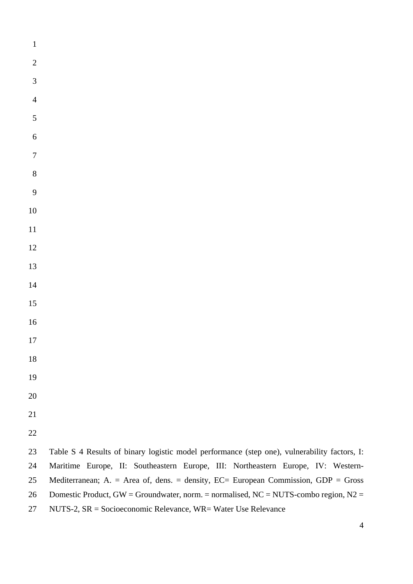- 
- 23 Table S 4 Results of binary logistic model performance (step one), vulnerability factors, I: 24 Maritime Europe, II: Southeastern Europe, III: Northeastern Europe, IV: Western-25 Mediterranean; A. = Area of, dens. = density, EC= European Commission, GDP = Gross 26 Domestic Product, GW = Groundwater, norm. = normalised, NC = NUTS-combo region, N2 = 27 NUTS-2, SR = Socioeconomic Relevance, WR= Water Use Relevance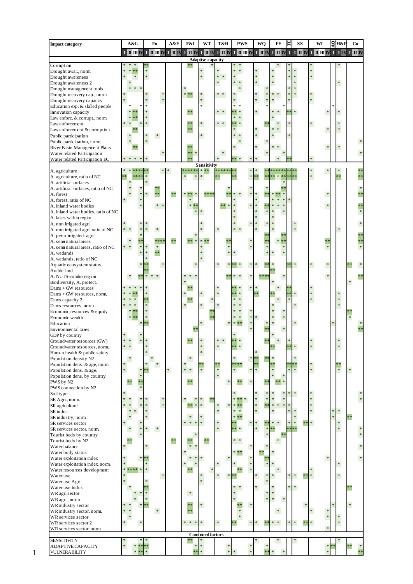| <b>Impact category</b>                            |                     | A&L                     |         | Fo                      | A&F             | E&I                      | WT                       | T&R         | <b>PWS</b>                                                                                                              |                  | WQ            | FE                                                                                              |             | SS                                                          | Wf                      |              | Эн&р                    | Co                                                                                              |
|---------------------------------------------------|---------------------|-------------------------|---------|-------------------------|-----------------|--------------------------|--------------------------|-------------|-------------------------------------------------------------------------------------------------------------------------|------------------|---------------|-------------------------------------------------------------------------------------------------|-------------|-------------------------------------------------------------|-------------------------|--------------|-------------------------|-------------------------------------------------------------------------------------------------|
|                                                   |                     | $I$ $I$ $I$ $I$ $I$ $I$ |         |                         | I H H IV I H IV |                          | I II IV I II IV I II IV  |             | $\overline{\mathbf{I}}$ $\overline{\mathbf{I}}$ $\overline{\mathbf{I}}$ $\overline{\mathbf{I}}$ $\overline{\mathbf{I}}$ |                  | $I$ $I$ $I$   | $\overline{\mathbf{I}}$ $\overline{\mathbf{I}}$ $\overline{\mathbf{I}}$ $\overline{\mathbf{N}}$ | $\mathbf I$ | $\overline{I}$ $\overline{I}$ $\overline{I}$ $\overline{I}$ | $I$ $I$ $I$ $I$ $I$ $I$ | $\mathbf{I}$ | $\mathbf{I} \mathbf{N}$ | $\overline{\mathbf{I}}$ $\overline{\mathbf{I}}$ $\overline{\mathbf{I}}$ $\overline{\mathbf{I}}$ |
|                                                   |                     |                         |         |                         |                 |                          | <b>Adaptive capacity</b> |             |                                                                                                                         |                  |               |                                                                                                 |             |                                                             |                         |              |                         |                                                                                                 |
| Corruption                                        |                     |                         | ×       |                         |                 | **                       | *                        | *           | *.<br>$\ast$                                                                                                            | ×                |               |                                                                                                 |             |                                                             | $\ast$                  |              |                         |                                                                                                 |
| Drought awar., norm.<br>Drought awareness         |                     | $*$                     | ×       |                         |                 |                          | $\ast$                   | ×<br>$\ast$ |                                                                                                                         | ×                |               |                                                                                                 |             |                                                             | $\ast$                  |              |                         |                                                                                                 |
| Drought awareness 2                               |                     |                         |         |                         |                 |                          |                          | ×           |                                                                                                                         | $\ast$           |               | $\ast$                                                                                          |             |                                                             |                         |              | $\ast$                  |                                                                                                 |
| Drought management tools                          | $\frac{1}{2}$       | $\ast$                  |         |                         |                 | *                        |                          |             |                                                                                                                         |                  |               |                                                                                                 |             |                                                             |                         |              |                         |                                                                                                 |
| Drought recovery cap., norm.                      | $\ast$              |                         |         | *                       |                 | * **                     | $\ast$                   | $* *$       |                                                                                                                         | ×                |               | $\ast$                                                                                          | $\ast$      |                                                             | $\ast$                  |              |                         |                                                                                                 |
| Drought recovery capacity                         | $\ast$              |                         |         | *                       |                 |                          | ×                        |             |                                                                                                                         | ×                | $\frac{1}{2}$ |                                                                                                 |             |                                                             | $\ast$                  |              |                         |                                                                                                 |
| Education exp. & skilled people                   |                     |                         |         |                         |                 |                          | ×.                       |             | ×.                                                                                                                      |                  |               |                                                                                                 |             |                                                             |                         |              |                         |                                                                                                 |
| Innovation capacity                               |                     | $\ast$<br>$*$           |         |                         |                 | $**$                     |                          | * *         | $\ast$<br>$\ast$                                                                                                        | $\ast$           |               |                                                                                                 | $\ast$      |                                                             | $\ast$                  |              | $\ast$                  |                                                                                                 |
| Law enforc. & corrupt., norm.                     | *.<br>$\frac{1}{2}$ |                         | ×.      |                         |                 | $**$                     | $\ast$                   | * *         | $\frac{1}{2}$                                                                                                           |                  |               |                                                                                                 |             |                                                             | $\ast$                  |              | $\ast$                  |                                                                                                 |
| Law enforcement<br>Law enforcement & corruption   |                     |                         |         |                         |                 | **                       |                          |             |                                                                                                                         | *                |               |                                                                                                 |             |                                                             | ×                       |              | $\ast$                  |                                                                                                 |
| Public participation                              |                     |                         |         | $\ast$                  |                 |                          | $\ast$                   |             |                                                                                                                         | ×                |               |                                                                                                 |             |                                                             |                         |              |                         |                                                                                                 |
| Public participation, norm.                       | $\ast$              |                         | ×       |                         |                 |                          |                          |             |                                                                                                                         |                  | $\frac{1}{2}$ |                                                                                                 |             |                                                             |                         |              |                         |                                                                                                 |
| River Basin Management Plans                      |                     |                         |         |                         |                 | $**$                     |                          |             |                                                                                                                         | ×                |               |                                                                                                 |             |                                                             | ×                       |              | $\ast$                  |                                                                                                 |
| Water related Participation                       |                     |                         |         |                         |                 | **<br>$\ast$             |                          |             |                                                                                                                         |                  | $\frac{1}{2}$ |                                                                                                 |             |                                                             |                         |              |                         |                                                                                                 |
| Water related Participation EC                    | * *                 | $\ast$                  |         |                         |                 | $**$                     |                          |             |                                                                                                                         | $\ast$           |               |                                                                                                 |             |                                                             | $\ast$                  |              |                         |                                                                                                 |
|                                                   |                     |                         |         |                         |                 | ******                   | Sensitivity              |             |                                                                                                                         |                  |               |                                                                                                 |             |                                                             |                         |              |                         |                                                                                                 |
| A. agriculture<br>A. agriculture, ratio of NC     |                     | *<br>***                | *       | *                       |                 | *<br>$\ast$              | * **<br>$\ast$           | *****       |                                                                                                                         | ∗<br>×           | **            | *****<br>$\ast$                                                                                 |             |                                                             | $\ast$<br>$\ast$        |              |                         |                                                                                                 |
| A. artificial surfaces                            |                     |                         | ×       |                         |                 |                          |                          |             |                                                                                                                         |                  |               | 净                                                                                               |             |                                                             |                         |              |                         |                                                                                                 |
| A. artificial surfaces, ratio of NC               |                     |                         |         | **                      |                 |                          |                          |             |                                                                                                                         |                  |               |                                                                                                 |             |                                                             |                         |              |                         |                                                                                                 |
| A. forest                                         |                     |                         | *.      | **                      | $\ast\ast$      | *.<br>$**$               | ***                      |             |                                                                                                                         |                  |               |                                                                                                 |             |                                                             | ×                       |              |                         |                                                                                                 |
| A. forest, ratio of NC                            | $\ast$              | $\ast$                  |         |                         |                 | *                        |                          |             |                                                                                                                         | ×                |               |                                                                                                 |             |                                                             |                         |              |                         |                                                                                                 |
| A. inland water bodies                            |                     |                         |         | $\ast$<br>$\frac{1}{2}$ |                 | *                        |                          |             |                                                                                                                         | $\ast$           |               |                                                                                                 |             |                                                             | ×                       |              |                         |                                                                                                 |
| A. inland water bodies, ratio of NC               |                     |                         |         |                         |                 |                          |                          |             |                                                                                                                         | $\ast$           | $\frac{1}{2}$ |                                                                                                 |             |                                                             |                         |              |                         | *                                                                                               |
| A. lakes within region                            |                     |                         |         |                         |                 |                          |                          |             |                                                                                                                         | ×                |               | $\ast$                                                                                          |             |                                                             |                         |              |                         |                                                                                                 |
| A. non irrigated agri.                            |                     |                         |         |                         |                 |                          |                          |             |                                                                                                                         | ×<br>*           | ×             | $\ast$                                                                                          |             |                                                             |                         |              |                         |                                                                                                 |
| A. non irrigated agri, ratio of NC                | * *                 |                         | ×       | $\ast$                  |                 |                          |                          |             |                                                                                                                         | ×                |               |                                                                                                 | *           |                                                             |                         |              | $\ast$                  |                                                                                                 |
| A. perm. irrigated. agri.                         |                     |                         |         |                         |                 |                          |                          |             |                                                                                                                         |                  |               |                                                                                                 |             |                                                             |                         |              |                         |                                                                                                 |
| A. semi natural areas                             | $\ast$<br>$* *$     |                         | ×       | ***:<br>$\ast$          | $\ast\ast$      | $**$<br>$\ast$           | $* * *$                  |             |                                                                                                                         |                  |               | $\ast$<br>$*$                                                                                   |             |                                                             | **<br>×                 |              |                         |                                                                                                 |
| A. semi natural areas, ratio of NC<br>A. wetlands |                     |                         |         | **                      |                 |                          |                          |             |                                                                                                                         |                  |               |                                                                                                 |             |                                                             |                         |              |                         |                                                                                                 |
| A. wetlands, ratio of NC                          |                     |                         |         |                         |                 |                          |                          |             |                                                                                                                         |                  |               |                                                                                                 |             |                                                             |                         |              |                         |                                                                                                 |
| Aquatic ecosystem status                          |                     |                         |         | $\ast$                  |                 |                          |                          |             |                                                                                                                         |                  |               |                                                                                                 | $\ast$      |                                                             | $\ast$<br>*             |              |                         |                                                                                                 |
| Arable land                                       |                     |                         |         |                         |                 |                          |                          |             |                                                                                                                         |                  |               | k ok                                                                                            |             |                                                             |                         |              |                         |                                                                                                 |
| A. NUTS-combo region                              |                     | * :<br>$\ast$           | *       | $\ast$<br>$\ast$        |                 | *.                       |                          |             |                                                                                                                         |                  |               |                                                                                                 |             |                                                             | $\ast$                  |              |                         |                                                                                                 |
| Biodiversity, A. protect.                         |                     |                         |         |                         |                 | ×.                       |                          |             |                                                                                                                         |                  |               |                                                                                                 |             |                                                             |                         |              |                         | $\ast$                                                                                          |
| $Dams + GW$ resources                             |                     |                         | ×.      |                         |                 | $**$                     |                          |             |                                                                                                                         |                  |               |                                                                                                 |             |                                                             | $\ast$                  |              |                         |                                                                                                 |
| Dams + GW resources, norm.                        |                     |                         |         |                         |                 |                          |                          |             |                                                                                                                         |                  |               |                                                                                                 |             |                                                             | $\ast$                  |              | $\ast$                  |                                                                                                 |
| Dams capacity 2                                   |                     | $\ast$                  | k *     |                         |                 | $* *$                    |                          |             |                                                                                                                         |                  |               |                                                                                                 |             |                                                             | $\ast$                  |              | ×                       |                                                                                                 |
| Dams resources, norm.                             | $\ast$              |                         | ×       |                         |                 | ×                        | $\ast$                   |             |                                                                                                                         |                  |               |                                                                                                 | $\ast$      |                                                             |                         |              | $\ast$                  |                                                                                                 |
| Economic resources & equity                       |                     | $\ast$                  |         |                         |                 |                          |                          |             |                                                                                                                         |                  |               |                                                                                                 |             |                                                             |                         |              |                         |                                                                                                 |
| Economic wealth                                   |                     | $\ast$                  |         |                         |                 |                          | *                        |             |                                                                                                                         | ×                |               | ×                                                                                               | ×           |                                                             |                         |              |                         |                                                                                                 |
| Education                                         |                     |                         |         |                         |                 |                          |                          |             |                                                                                                                         |                  |               |                                                                                                 |             |                                                             |                         |              |                         |                                                                                                 |
| Environmental taxes                               |                     |                         |         |                         |                 |                          |                          |             |                                                                                                                         |                  |               |                                                                                                 |             |                                                             |                         |              |                         |                                                                                                 |
| GDP by country<br>Groundwater resources (GW)      | *.                  |                         |         |                         |                 | **                       |                          |             |                                                                                                                         |                  |               |                                                                                                 |             |                                                             | ×                       |              | $\ast$                  |                                                                                                 |
| Groundwater resources, norm.                      | *<br>$\ast$         |                         |         |                         |                 |                          |                          |             |                                                                                                                         |                  |               |                                                                                                 |             |                                                             |                         |              | $\ast$                  |                                                                                                 |
| Human health & public safety                      |                     |                         |         |                         |                 |                          |                          |             |                                                                                                                         |                  |               |                                                                                                 |             |                                                             |                         |              |                         |                                                                                                 |
| Population density N2                             |                     |                         |         |                         |                 |                          |                          |             |                                                                                                                         |                  |               |                                                                                                 |             |                                                             |                         |              |                         |                                                                                                 |
| Population dens. & age, norm.                     | ×                   |                         |         | ×.                      |                 |                          |                          |             |                                                                                                                         | k*               |               |                                                                                                 |             |                                                             | $\ast$                  |              |                         |                                                                                                 |
| Population dens. & age.                           | $\ast$              |                         |         |                         | $\ast$          | $\ast$<br>$\;$ $\;$ $\;$ | $\ast$                   | * *         | $\ast$                                                                                                                  | $\ast$<br>$\ast$ |               | ×                                                                                               | $\ast$      |                                                             | $\ast$                  |              | $*$                     | $\ast$                                                                                          |
| Population dens. by country                       |                     |                         |         |                         |                 |                          |                          |             |                                                                                                                         |                  |               |                                                                                                 |             |                                                             |                         |              |                         |                                                                                                 |
| PWS by N2                                         | **                  |                         |         |                         |                 | **                       |                          | $\ast$      | $**$                                                                                                                    | $\ast$           | $*$           |                                                                                                 |             |                                                             |                         |              |                         |                                                                                                 |
| PWS connection by N2                              |                     |                         |         |                         |                 |                          |                          |             |                                                                                                                         |                  |               |                                                                                                 |             |                                                             |                         |              |                         |                                                                                                 |
| Soil type                                         | *.                  |                         |         |                         |                 |                          |                          |             |                                                                                                                         | *                | $\frac{1}{2}$ | $\ast$<br>÷                                                                                     | $\ast$      |                                                             | $\ast$                  |              |                         |                                                                                                 |
| SR Agri., norm.                                   | ×                   |                         |         | $\ast$                  |                 | *                        |                          |             |                                                                                                                         | $\ast$           | ×             | ×<br>$\ast$                                                                                     |             |                                                             | $\ast$                  |              |                         | $\ast$                                                                                          |
| SR agriculture                                    | ×.                  |                         |         | $\ast$                  |                 | **                       | $\ast$                   |             | *.                                                                                                                      | $\ast$           | *:            | ×.<br>×<br>$\ast$                                                                               |             |                                                             | $\ast$                  |              |                         |                                                                                                 |
| SR indus                                          | $\ast$              | $\ast$                  | ×       |                         |                 | *.                       | $\ast$                   | ×           | ×<br>$\frac{1}{2}$                                                                                                      | $\ast$           |               | $\ast$                                                                                          |             |                                                             | $\ast$                  | $\ast$<br>×  | $\ast$                  |                                                                                                 |
| SR industry, norm.<br>SR services sector          | ×.                  |                         |         |                         |                 | $\ast$<br>$\ast$         | $\ast$                   |             |                                                                                                                         | $\ast$           |               | $\ast$                                                                                          |             |                                                             | $\ast$                  |              | $\ast$                  |                                                                                                 |
| SR services sector, norm.                         |                     | $\ast$<br>×,            | *       | $\ast$                  |                 |                          |                          | ×           | ×<br>k *                                                                                                                | $\ast$           | $\frac{1}{2}$ |                                                                                                 |             |                                                             |                         |              | $\ast$                  |                                                                                                 |
| Tourist beds by country                           |                     |                         |         |                         |                 |                          |                          |             |                                                                                                                         |                  |               | $\ast$ :                                                                                        |             |                                                             |                         |              |                         |                                                                                                 |
| Tourist beds by N2                                | **                  |                         |         |                         | $**$            | $**$                     | **                       |             | $\ast$<br>*                                                                                                             |                  |               | $\ast$                                                                                          |             |                                                             |                         |              |                         |                                                                                                 |
| Water balance                                     | ×                   |                         | $\ast$  |                         |                 | ×                        |                          |             |                                                                                                                         |                  |               |                                                                                                 |             |                                                             |                         |              |                         | $\ast$                                                                                          |
| Water body status                                 |                     |                         |         |                         |                 | *                        |                          |             | $*1$<br>*.                                                                                                              |                  |               |                                                                                                 |             |                                                             |                         |              |                         |                                                                                                 |
| Water exploitation index                          | $\ast$              | ×,                      | k*      |                         |                 | *                        |                          |             |                                                                                                                         |                  |               |                                                                                                 |             |                                                             | ×                       |              |                         | $\ast$                                                                                          |
| Water exploitation index, norm.                   | *.                  |                         | ×       |                         |                 |                          |                          |             |                                                                                                                         |                  | $\frac{3}{2}$ |                                                                                                 |             |                                                             |                         |              | $\ast$                  |                                                                                                 |
| Water resources development                       |                     | * ****                  | $\ast$  |                         |                 | $**$                     |                          |             |                                                                                                                         |                  |               | $\ast$                                                                                          |             |                                                             | $\ast$                  |              |                         |                                                                                                 |
| Wateruse                                          | *                   |                         |         | $\ast$                  |                 |                          | $\ast$                   |             |                                                                                                                         | $\ast$           | $\ast$        | ×                                                                                               | ×<br>$\ast$ | **                                                          | $\ast$                  |              | $\ast$                  |                                                                                                 |
| Water use Agri                                    | ×                   |                         |         |                         |                 |                          | $\ast$                   |             |                                                                                                                         |                  | ×             |                                                                                                 |             |                                                             |                         |              |                         |                                                                                                 |
| Water use Indus                                   |                     |                         |         |                         |                 |                          |                          |             |                                                                                                                         | $\ast$           |               | $\ast$                                                                                          | $\ast$<br>* |                                                             |                         |              |                         |                                                                                                 |
| WR agri sector                                    |                     |                         | *<br>×. |                         |                 | $\ast$                   |                          |             |                                                                                                                         |                  | ×<br>$\ast$   | ×<br>$\ast$<br>$\ast$                                                                           |             |                                                             |                         |              |                         |                                                                                                 |
| WR agri., norm.                                   | *                   |                         |         |                         |                 | **                       | $\ast$                   |             | **                                                                                                                      | $\ast$           |               |                                                                                                 |             |                                                             |                         |              |                         |                                                                                                 |
| WR industry sector<br>WR industry sector, norm.   | *.<br>$*$           |                         |         | $\ast$                  |                 | **                       |                          |             | $\ast$                                                                                                                  |                  |               | $\ast$                                                                                          |             |                                                             | $\ast$                  |              |                         |                                                                                                 |
| WR services sector                                | $\ast$              |                         |         |                         |                 |                          |                          |             |                                                                                                                         |                  |               |                                                                                                 |             |                                                             | * *                     |              | $\ast$                  |                                                                                                 |
| WR services sector 2                              | *                   | *                       |         |                         |                 | ×<br>$*$ *               | $\ast$                   | *           |                                                                                                                         | $\ast$<br>*      | *:            | ×<br>$\ast$                                                                                     | $\ast$      |                                                             | $\ast$                  |              | $\ast$                  |                                                                                                 |
| WR services sector, norm.                         |                     |                         |         |                         |                 |                          |                          |             |                                                                                                                         |                  |               |                                                                                                 |             |                                                             |                         |              |                         |                                                                                                 |
|                                                   |                     |                         |         |                         |                 |                          | <b>Combined factors</b>  |             |                                                                                                                         |                  |               |                                                                                                 |             |                                                             |                         |              |                         |                                                                                                 |
| <b>SENSITIVITY</b>                                |                     |                         |         |                         |                 |                          |                          |             |                                                                                                                         |                  |               |                                                                                                 | *           |                                                             |                         |              |                         |                                                                                                 |
| ADAPTIVE CAPACITY                                 | ×                   | $\ast$                  | k*      |                         |                 | *                        | $\ast$                   | ∗           |                                                                                                                         | ∗                | $\ast$        |                                                                                                 |             |                                                             | ×                       |              |                         |                                                                                                 |
| VULNERABILITY                                     |                     | $\ast$                  |         |                         |                 |                          | $\ast$                   |             |                                                                                                                         |                  |               |                                                                                                 |             |                                                             |                         |              |                         |                                                                                                 |